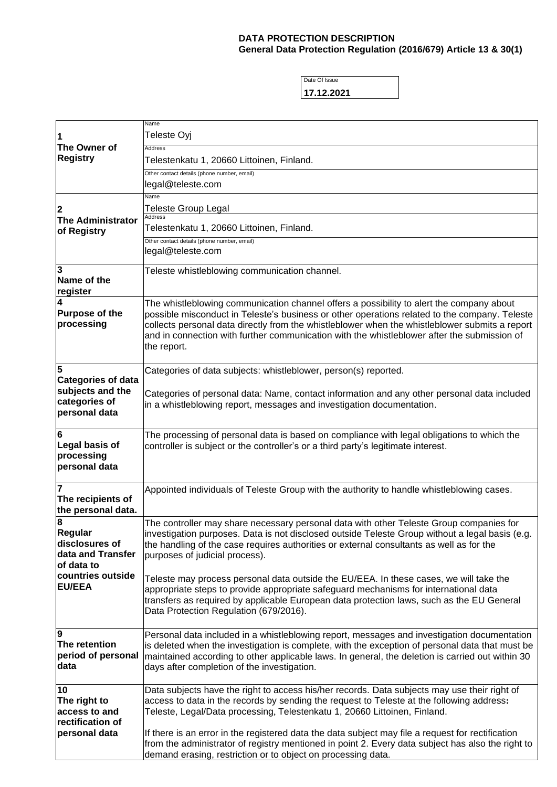## **DATA PROTECTION DESCRIPTION General Data Protection Regulation (2016/679) Article 13 & 30(1)**

Date Of Issue **17.12.2021**

| The Owner of<br><b>Registry</b>                                                 | Name<br>Teleste Oyj                                                                                                                                                                                                                                                                                                                                                                                       |
|---------------------------------------------------------------------------------|-----------------------------------------------------------------------------------------------------------------------------------------------------------------------------------------------------------------------------------------------------------------------------------------------------------------------------------------------------------------------------------------------------------|
|                                                                                 | <b>Address</b>                                                                                                                                                                                                                                                                                                                                                                                            |
|                                                                                 | Telestenkatu 1, 20660 Littoinen, Finland.<br>Other contact details (phone number, email)                                                                                                                                                                                                                                                                                                                  |
|                                                                                 | legal@teleste.com                                                                                                                                                                                                                                                                                                                                                                                         |
| 2<br><b>The Administrator</b><br>of Registry                                    | Name<br>Teleste Group Legal                                                                                                                                                                                                                                                                                                                                                                               |
|                                                                                 | <b>Address</b>                                                                                                                                                                                                                                                                                                                                                                                            |
|                                                                                 | Telestenkatu 1, 20660 Littoinen, Finland.<br>Other contact details (phone number, email)                                                                                                                                                                                                                                                                                                                  |
|                                                                                 | legal@teleste.com                                                                                                                                                                                                                                                                                                                                                                                         |
| 3<br>Name of the<br>register                                                    | Teleste whistleblowing communication channel.                                                                                                                                                                                                                                                                                                                                                             |
| 4<br><b>Purpose of the</b><br>processing                                        | The whistleblowing communication channel offers a possibility to alert the company about<br>possible misconduct in Teleste's business or other operations related to the company. Teleste<br>collects personal data directly from the whistleblower when the whistleblower submits a report<br>and in connection with further communication with the whistleblower after the submission of<br>the report. |
| 5                                                                               | Categories of data subjects: whistleblower, person(s) reported.                                                                                                                                                                                                                                                                                                                                           |
| <b>Categories of data</b><br>subjects and the<br>categories of<br>personal data | Categories of personal data: Name, contact information and any other personal data included<br>in a whistleblowing report, messages and investigation documentation.                                                                                                                                                                                                                                      |
| 6<br>Legal basis of<br>processing<br>personal data                              | The processing of personal data is based on compliance with legal obligations to which the<br>controller is subject or the controller's or a third party's legitimate interest.                                                                                                                                                                                                                           |
| 7<br>The recipients of<br>the personal data.                                    | Appointed individuals of Teleste Group with the authority to handle whistleblowing cases.                                                                                                                                                                                                                                                                                                                 |
| 8<br>Regular<br>disclosures of<br>data and Transfer<br>of data to               | The controller may share necessary personal data with other Teleste Group companies for<br>investigation purposes. Data is not disclosed outside Teleste Group without a legal basis (e.g.<br>the handling of the case requires authorities or external consultants as well as for the<br>purposes of judicial process).                                                                                  |
| countries outside<br><b>EU/EEA</b>                                              | Teleste may process personal data outside the EU/EEA. In these cases, we will take the<br>appropriate steps to provide appropriate safeguard mechanisms for international data<br>transfers as required by applicable European data protection laws, such as the EU General<br>Data Protection Regulation (679/2016).                                                                                     |
| $\overline{9}$<br>The retention<br>period of personal<br>data                   | Personal data included in a whistleblowing report, messages and investigation documentation<br>is deleted when the investigation is complete, with the exception of personal data that must be<br>maintained according to other applicable laws. In general, the deletion is carried out within 30<br>days after completion of the investigation.                                                         |
| 10<br>The right to<br>access to and<br>rectification of                         | Data subjects have the right to access his/her records. Data subjects may use their right of<br>access to data in the records by sending the request to Teleste at the following address:<br>Teleste, Legal/Data processing, Telestenkatu 1, 20660 Littoinen, Finland.                                                                                                                                    |
| personal data                                                                   | If there is an error in the registered data the data subject may file a request for rectification<br>from the administrator of registry mentioned in point 2. Every data subject has also the right to<br>demand erasing, restriction or to object on processing data.                                                                                                                                    |